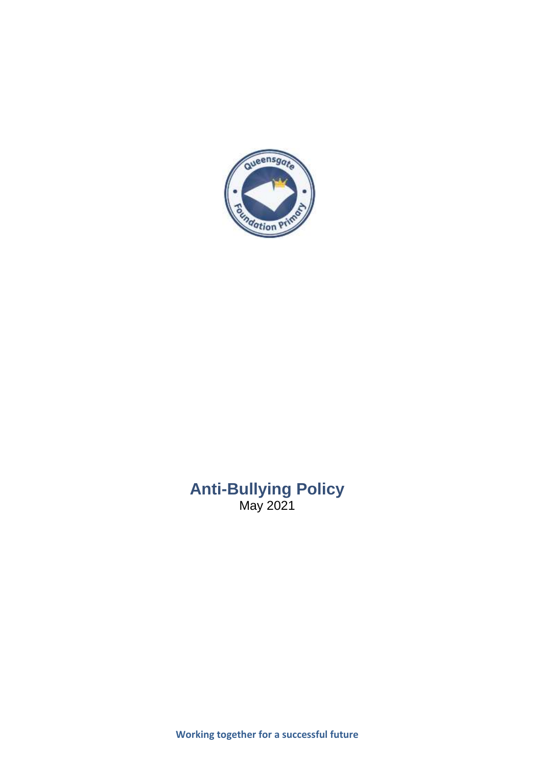

# **Anti-Bullying Policy** May 2021

**Working together for a successful future**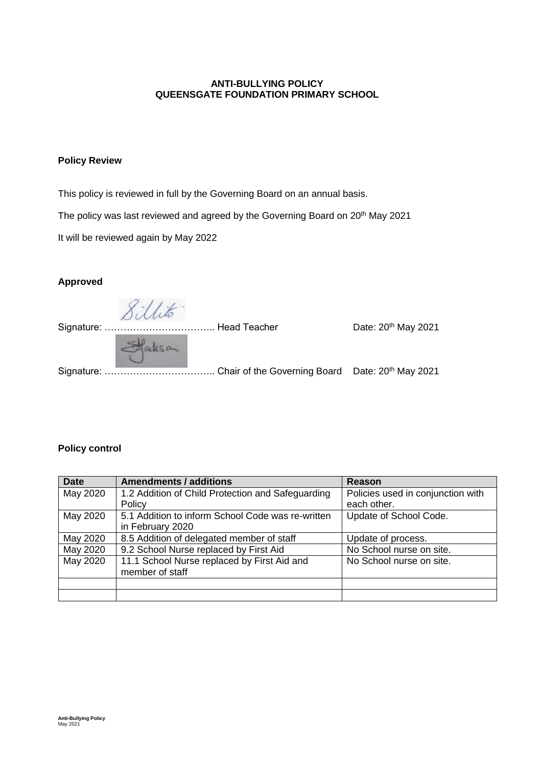## **ANTI-BULLYING POLICY QUEENSGATE FOUNDATION PRIMARY SCHOOL**

## **Policy Review**

This policy is reviewed in full by the Governing Board on an annual basis.

The policy was last reviewed and agreed by the Governing Board on 20<sup>th</sup> May 2021

It will be reviewed again by May 2022

## **Approved**

Signature: ……………………………………… Head Teacher \_\_\_\_\_\_\_\_\_\_\_\_\_\_\_\_\_\_\_\_\_\_Date: 20<sup>th</sup> May 2021

Signature: …………………………….. Chair of the Governing Board Date: 20th May 2021

### **Policy control**

| <b>Date</b> | <b>Amendments / additions</b>                     | <b>Reason</b>                     |
|-------------|---------------------------------------------------|-----------------------------------|
| May 2020    | 1.2 Addition of Child Protection and Safeguarding | Policies used in conjunction with |
|             | Policy                                            | each other.                       |
| May 2020    | 5.1 Addition to inform School Code was re-written | Update of School Code.            |
|             | in February 2020                                  |                                   |
| May 2020    | 8.5 Addition of delegated member of staff         | Update of process.                |
| May 2020    | 9.2 School Nurse replaced by First Aid            | No School nurse on site.          |
| May 2020    | 11.1 School Nurse replaced by First Aid and       | No School nurse on site.          |
|             | member of staff                                   |                                   |
|             |                                                   |                                   |
|             |                                                   |                                   |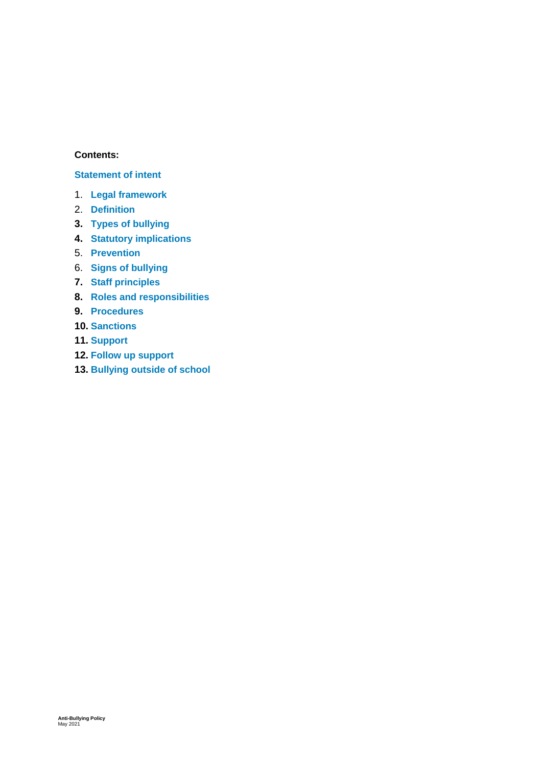## **Contents:**

## **[Statement of intent](#page-3-0)**

- 1. **[Legal framework](#page-4-0)**
- 2. **[Definition](#page-4-1)**
- **3. [Types of bullying](#page-4-2)**
- **4. [Statutory implications](#page-5-0)**
- 5. **[Prevention](#page-6-0)**
- 6. **[Signs of bullying](#page-6-1)**
- **7. [Staff principles](#page-7-0)**
- **8. [Roles and responsibilities](#page-7-1)**
- **9. [Procedures](#page-8-0)**
- **10. [Sanctions](#page-9-0)**
- **11. [Support](#page-9-1)**
- **12. [Follow up support](#page-10-0)**
- **13. [Bullying outside of school](#page-10-1)**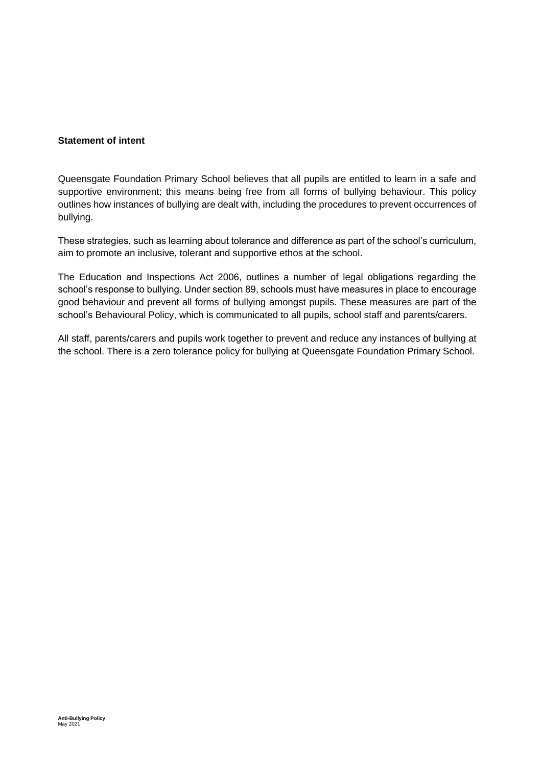## <span id="page-3-0"></span>**Statement of intent**

Queensgate Foundation Primary School believes that all pupils are entitled to learn in a safe and supportive environment; this means being free from all forms of bullying behaviour. This policy outlines how instances of bullying are dealt with, including the procedures to prevent occurrences of bullying.

These strategies, such as learning about tolerance and difference as part of the school's curriculum, aim to promote an inclusive, tolerant and supportive ethos at the school.

The Education and Inspections Act 2006, outlines a number of legal obligations regarding the school's response to bullying. Under section 89, schools must have measures in place to encourage good behaviour and prevent all forms of bullying amongst pupils. These measures are part of the school's Behavioural Policy, which is communicated to all pupils, school staff and parents/carers.

All staff, parents/carers and pupils work together to prevent and reduce any instances of bullying at the school. There is a zero tolerance policy for bullying at Queensgate Foundation Primary School.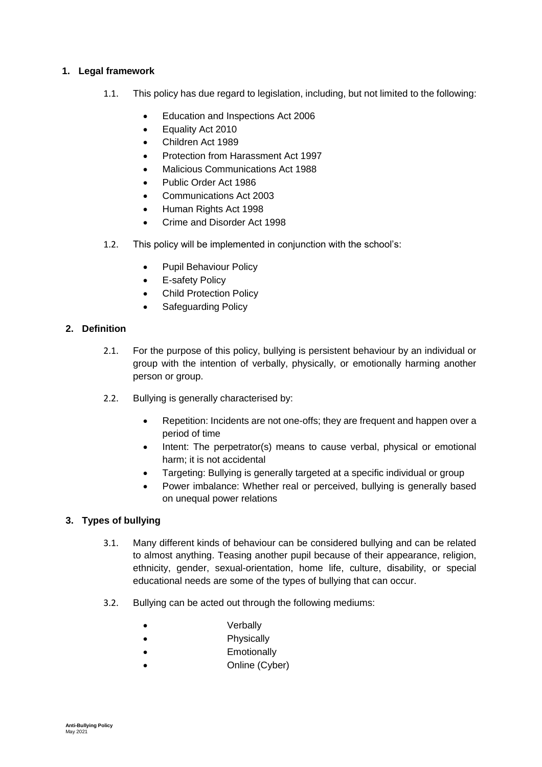## <span id="page-4-0"></span>**1. Legal framework**

- 1.1. This policy has due regard to legislation, including, but not limited to the following:
	- Education and Inspections Act 2006
	- Equality Act 2010
	- Children Act 1989
	- Protection from Harassment Act 1997
	- Malicious Communications Act 1988
	- Public Order Act 1986
	- Communications Act 2003
	- Human Rights Act 1998
	- Crime and Disorder Act 1998
- 1.2. This policy will be implemented in conjunction with the school's:
	- Pupil Behaviour Policy
	- E-safety Policy
	- Child Protection Policy
	- Safeguarding Policy

## <span id="page-4-1"></span>**2. Definition**

- 2.1. For the purpose of this policy, bullying is persistent behaviour by an individual or group with the intention of verbally, physically, or emotionally harming another person or group.
- 2.2. Bullying is generally characterised by:
	- Repetition: Incidents are not one-offs; they are frequent and happen over a period of time
	- Intent: The perpetrator(s) means to cause verbal, physical or emotional harm; it is not accidental
	- Targeting: Bullying is generally targeted at a specific individual or group
	- Power imbalance: Whether real or perceived, bullying is generally based on unequal power relations

#### <span id="page-4-2"></span>**3. Types of bullying**

- 3.1. Many different kinds of behaviour can be considered bullying and can be related to almost anything. Teasing another pupil because of their appearance, religion, ethnicity, gender, sexual-orientation, home life, culture, disability, or special educational needs are some of the types of bullying that can occur.
- 3.2. Bullying can be acted out through the following mediums:
	- **Verbally**
	- **Physically**
	- **Emotionally**
	- Online (Cyber)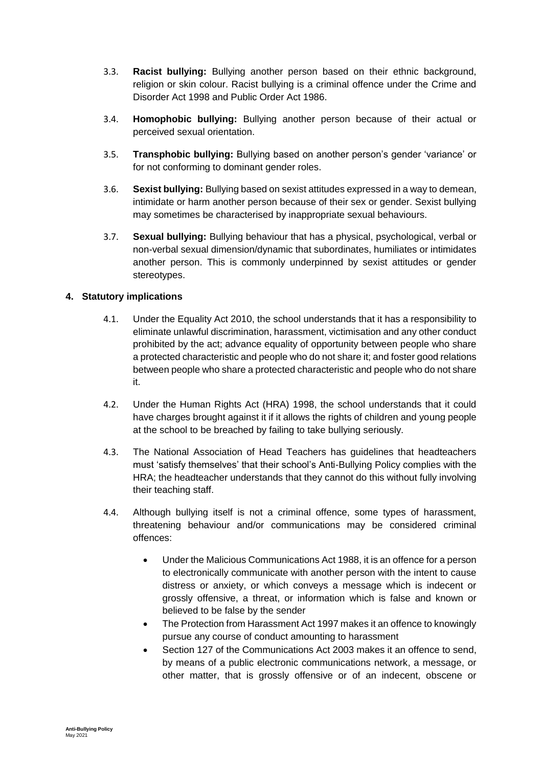- 3.3. **Racist bullying:** Bullying another person based on their ethnic background, religion or skin colour. Racist bullying is a criminal offence under the Crime and Disorder Act 1998 and Public Order Act 1986.
- 3.4. **Homophobic bullying:** Bullying another person because of their actual or perceived sexual orientation.
- 3.5. **Transphobic bullying:** Bullying based on another person's gender 'variance' or for not conforming to dominant gender roles.
- 3.6. **Sexist bullying:** Bullying based on sexist attitudes expressed in a way to demean, intimidate or harm another person because of their sex or gender. Sexist bullying may sometimes be characterised by inappropriate sexual behaviours.
- 3.7. **Sexual bullying:** Bullying behaviour that has a physical, psychological, verbal or non-verbal sexual dimension/dynamic that subordinates, humiliates or intimidates another person. This is commonly underpinned by sexist attitudes or gender stereotypes.

## <span id="page-5-0"></span>**4. Statutory implications**

- 4.1. Under the Equality Act 2010, the school understands that it has a responsibility to eliminate unlawful discrimination, harassment, victimisation and any other conduct prohibited by the act; advance equality of opportunity between people who share a protected characteristic and people who do not share it; and foster good relations between people who share a protected characteristic and people who do not share it.
- 4.2. Under the Human Rights Act (HRA) 1998, the school understands that it could have charges brought against it if it allows the rights of children and young people at the school to be breached by failing to take bullying seriously.
- 4.3. The National Association of Head Teachers has guidelines that headteachers must 'satisfy themselves' that their school's Anti-Bullying Policy complies with the HRA; the headteacher understands that they cannot do this without fully involving their teaching staff.
- 4.4. Although bullying itself is not a criminal offence, some types of harassment, threatening behaviour and/or communications may be considered criminal offences:
	- Under the Malicious Communications Act 1988, it is an offence for a person to electronically communicate with another person with the intent to cause distress or anxiety, or which conveys a message which is indecent or grossly offensive, a threat, or information which is false and known or believed to be false by the sender
	- The Protection from Harassment Act 1997 makes it an offence to knowingly pursue any course of conduct amounting to harassment
	- Section 127 of the Communications Act 2003 makes it an offence to send, by means of a public electronic communications network, a message, or other matter, that is grossly offensive or of an indecent, obscene or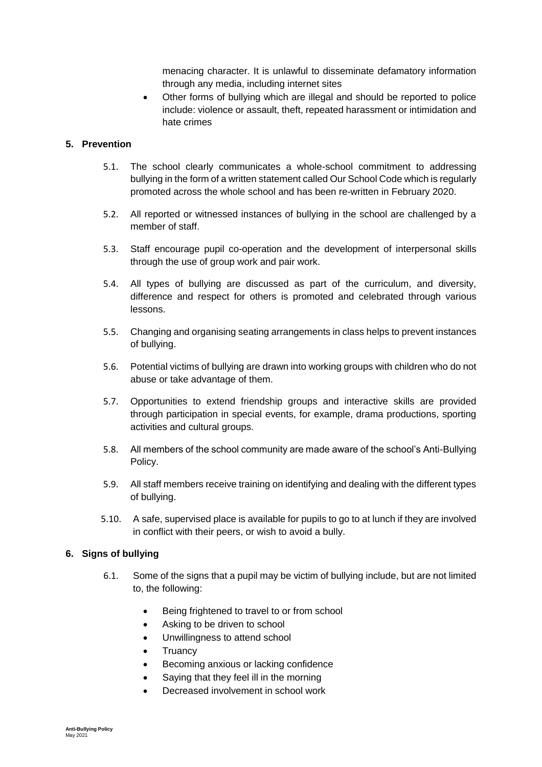menacing character. It is unlawful to disseminate defamatory information through any media, including internet sites

 Other forms of bullying which are illegal and should be reported to police include: violence or assault, theft, repeated harassment or intimidation and hate crimes

## <span id="page-6-0"></span>**5. Prevention**

- 5.1. The school clearly communicates a whole-school commitment to addressing bullying in the form of a written statement called Our School Code which is regularly promoted across the whole school and has been re-written in February 2020.
- 5.2. All reported or witnessed instances of bullying in the school are challenged by a member of staff.
- 5.3. Staff encourage pupil co-operation and the development of interpersonal skills through the use of group work and pair work.
- 5.4. All types of bullying are discussed as part of the curriculum, and diversity, difference and respect for others is promoted and celebrated through various lessons.
- 5.5. Changing and organising seating arrangements in class helps to prevent instances of bullying.
- 5.6. Potential victims of bullying are drawn into working groups with children who do not abuse or take advantage of them.
- 5.7. Opportunities to extend friendship groups and interactive skills are provided through participation in special events, for example, drama productions, sporting activities and cultural groups.
- 5.8. All members of the school community are made aware of the school's Anti-Bullying Policy.
- 5.9. All staff members receive training on identifying and dealing with the different types of bullying.
- 5.10. A safe, supervised place is available for pupils to go to at lunch if they are involved in conflict with their peers, or wish to avoid a bully.

## <span id="page-6-1"></span>**6. Signs of bullying**

- 6.1. Some of the signs that a pupil may be victim of bullying include, but are not limited to, the following:
	- Being frightened to travel to or from school
	- Asking to be driven to school
	- Unwillingness to attend school
	- Truancy
	- Becoming anxious or lacking confidence
	- Saying that they feel ill in the morning
	- Decreased involvement in school work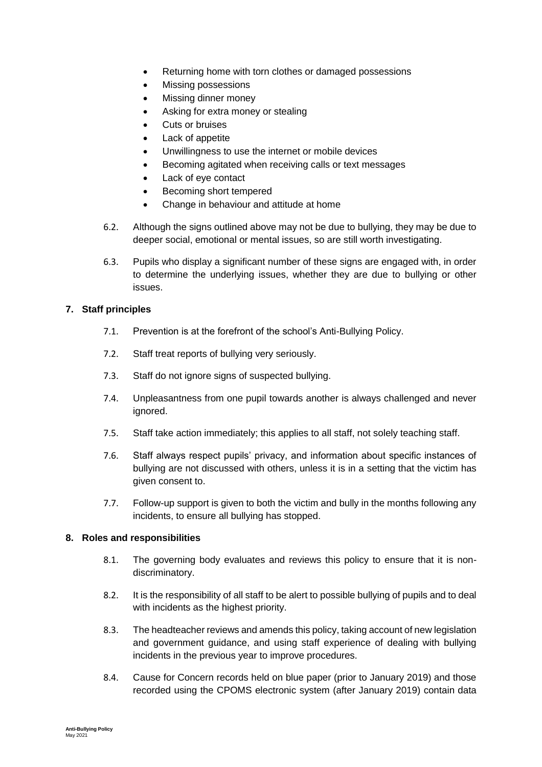- Returning home with torn clothes or damaged possessions
- Missing possessions
- Missing dinner money
- Asking for extra money or stealing
- Cuts or bruises
- Lack of appetite
- Unwillingness to use the internet or mobile devices
- Becoming agitated when receiving calls or text messages
- Lack of eye contact
- Becoming short tempered
- Change in behaviour and attitude at home
- 6.2. Although the signs outlined above may not be due to bullying, they may be due to deeper social, emotional or mental issues, so are still worth investigating.
- 6.3. Pupils who display a significant number of these signs are engaged with, in order to determine the underlying issues, whether they are due to bullying or other issues.

#### <span id="page-7-0"></span>**7. Staff principles**

- 7.1. Prevention is at the forefront of the school's Anti-Bullying Policy.
- 7.2. Staff treat reports of bullying very seriously.
- 7.3. Staff do not ignore signs of suspected bullying.
- 7.4. Unpleasantness from one pupil towards another is always challenged and never ignored.
- 7.5. Staff take action immediately; this applies to all staff, not solely teaching staff.
- 7.6. Staff always respect pupils' privacy, and information about specific instances of bullying are not discussed with others, unless it is in a setting that the victim has given consent to.
- 7.7. Follow-up support is given to both the victim and bully in the months following any incidents, to ensure all bullying has stopped.

#### <span id="page-7-1"></span>**8. Roles and responsibilities**

- 8.1. The governing body evaluates and reviews this policy to ensure that it is nondiscriminatory.
- 8.2. It is the responsibility of all staff to be alert to possible bullying of pupils and to deal with incidents as the highest priority.
- 8.3. The headteacher reviews and amends this policy, taking account of new legislation and government guidance, and using staff experience of dealing with bullying incidents in the previous year to improve procedures.
- 8.4. Cause for Concern records held on blue paper (prior to January 2019) and those recorded using the CPOMS electronic system (after January 2019) contain data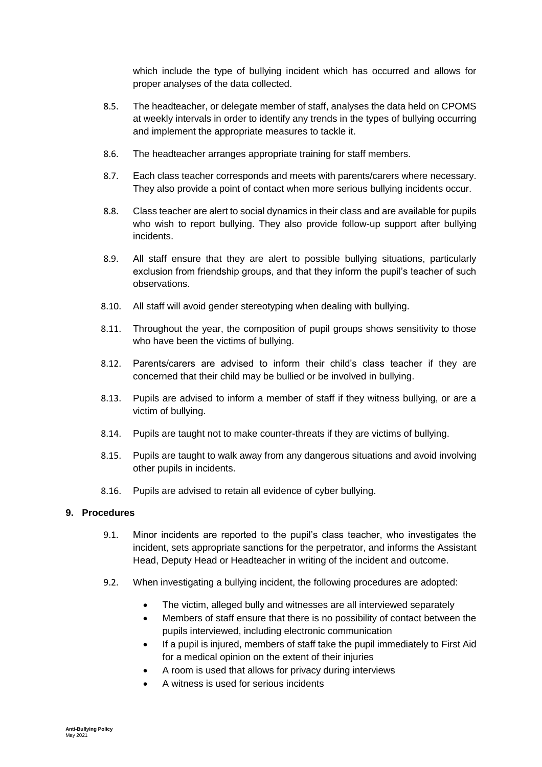which include the type of bullying incident which has occurred and allows for proper analyses of the data collected.

- 8.5. The headteacher, or delegate member of staff, analyses the data held on CPOMS at weekly intervals in order to identify any trends in the types of bullying occurring and implement the appropriate measures to tackle it.
- 8.6. The headteacher arranges appropriate training for staff members.
- 8.7. Each class teacher corresponds and meets with parents/carers where necessary. They also provide a point of contact when more serious bullying incidents occur.
- 8.8. Class teacher are alert to social dynamics in their class and are available for pupils who wish to report bullying. They also provide follow-up support after bullying incidents.
- 8.9. All staff ensure that they are alert to possible bullying situations, particularly exclusion from friendship groups, and that they inform the pupil's teacher of such observations.
- 8.10. All staff will avoid gender stereotyping when dealing with bullying.
- 8.11. Throughout the year, the composition of pupil groups shows sensitivity to those who have been the victims of bullying.
- 8.12. Parents/carers are advised to inform their child's class teacher if they are concerned that their child may be bullied or be involved in bullying.
- 8.13. Pupils are advised to inform a member of staff if they witness bullying, or are a victim of bullying.
- 8.14. Pupils are taught not to make counter-threats if they are victims of bullying.
- 8.15. Pupils are taught to walk away from any dangerous situations and avoid involving other pupils in incidents.
- 8.16. Pupils are advised to retain all evidence of cyber bullying.

#### <span id="page-8-0"></span>**9. Procedures**

- 9.1. Minor incidents are reported to the pupil's class teacher, who investigates the incident, sets appropriate sanctions for the perpetrator, and informs the Assistant Head, Deputy Head or Headteacher in writing of the incident and outcome.
- 9.2. When investigating a bullying incident, the following procedures are adopted:
	- The victim, alleged bully and witnesses are all interviewed separately
	- Members of staff ensure that there is no possibility of contact between the pupils interviewed, including electronic communication
	- If a pupil is injured, members of staff take the pupil immediately to First Aid for a medical opinion on the extent of their injuries
	- A room is used that allows for privacy during interviews
	- A witness is used for serious incidents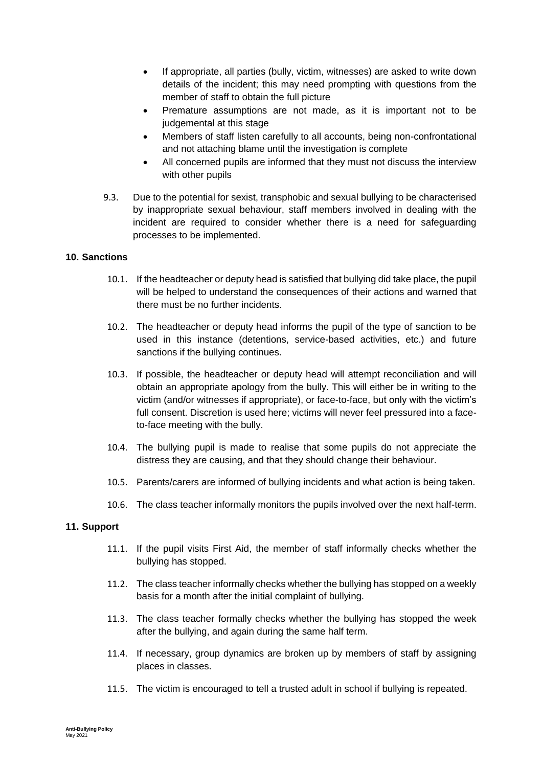- If appropriate, all parties (bully, victim, witnesses) are asked to write down details of the incident; this may need prompting with questions from the member of staff to obtain the full picture
- Premature assumptions are not made, as it is important not to be judgemental at this stage
- Members of staff listen carefully to all accounts, being non-confrontational and not attaching blame until the investigation is complete
- All concerned pupils are informed that they must not discuss the interview with other pupils
- 9.3. Due to the potential for sexist, transphobic and sexual bullying to be characterised by inappropriate sexual behaviour, staff members involved in dealing with the incident are required to consider whether there is a need for safeguarding processes to be implemented.

## <span id="page-9-0"></span>**10. Sanctions**

- 10.1. If the headteacher or deputy head is satisfied that bullying did take place, the pupil will be helped to understand the consequences of their actions and warned that there must be no further incidents.
- 10.2. The headteacher or deputy head informs the pupil of the type of sanction to be used in this instance (detentions, service-based activities, etc.) and future sanctions if the bullying continues.
- 10.3. If possible, the headteacher or deputy head will attempt reconciliation and will obtain an appropriate apology from the bully. This will either be in writing to the victim (and/or witnesses if appropriate), or face-to-face, but only with the victim's full consent. Discretion is used here; victims will never feel pressured into a faceto-face meeting with the bully.
- 10.4. The bullying pupil is made to realise that some pupils do not appreciate the distress they are causing, and that they should change their behaviour.
- 10.5. Parents/carers are informed of bullying incidents and what action is being taken.
- 10.6. The class teacher informally monitors the pupils involved over the next half-term.

#### <span id="page-9-1"></span>**11. Support**

- 11.1. If the pupil visits First Aid, the member of staff informally checks whether the bullying has stopped.
- 11.2. The class teacher informally checks whether the bullying has stopped on a weekly basis for a month after the initial complaint of bullying.
- 11.3. The class teacher formally checks whether the bullying has stopped the week after the bullying, and again during the same half term.
- 11.4. If necessary, group dynamics are broken up by members of staff by assigning places in classes.
- 11.5. The victim is encouraged to tell a trusted adult in school if bullying is repeated.